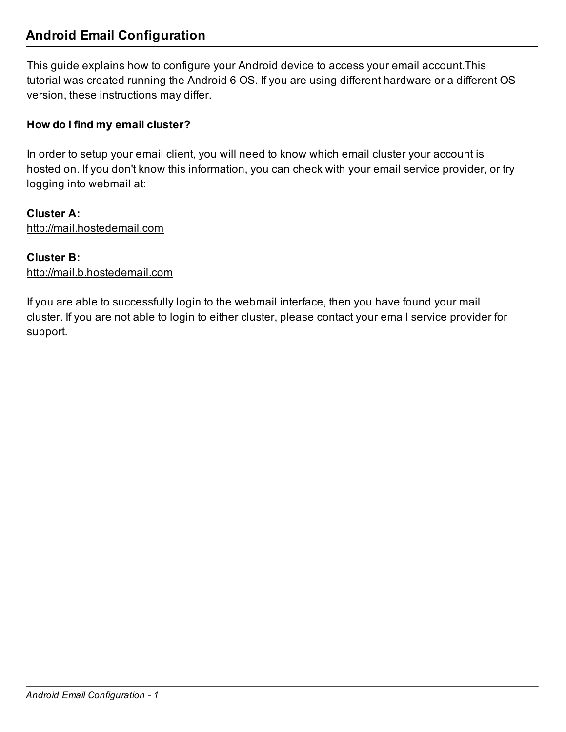# Android Email Configuration

This guide explains how to configure your Android device to access your email account.This tutorial was created running the Android 6 OS. If you are using different hardware or a different OS version, these instructions may differ.

# How do I find my email cluster?

In order to setup your email client, you will need to know which email cluster your account is hosted on. If you don't know this information, you can check with your email service provider, or try logging into webmail at:

Cluster A: http://mail.hostedemail.com

## Cluster B:

http://mail.b.hostedemail.com

If you are able to successfully login to the webmail interface, then you have found your mail cluster. If you are not able to login to either cluster, please contact your email service provider for support.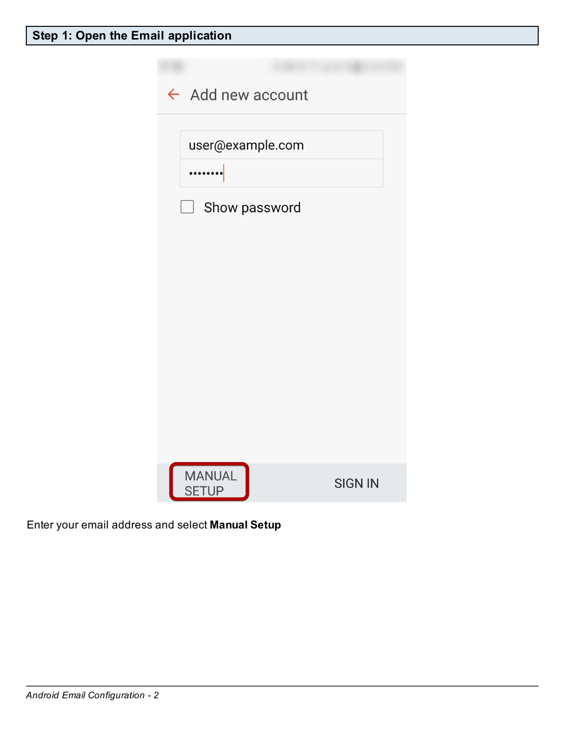

Enter your email address and select Manual Setup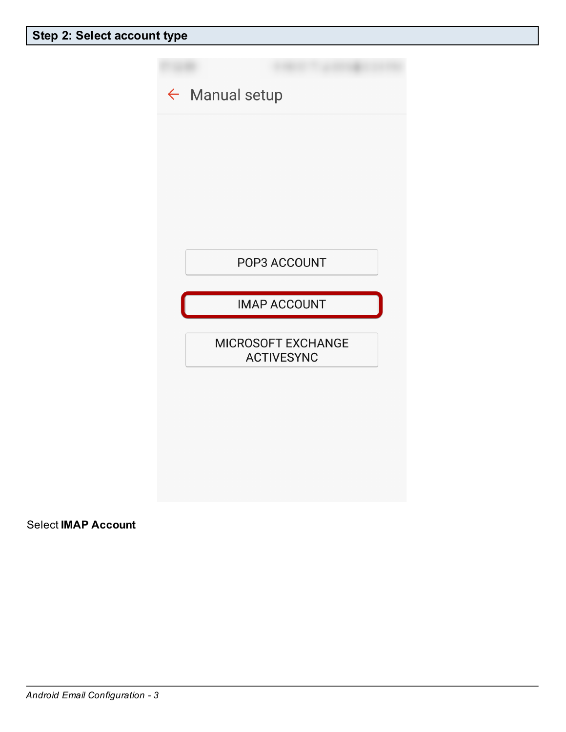

Select IMAP Account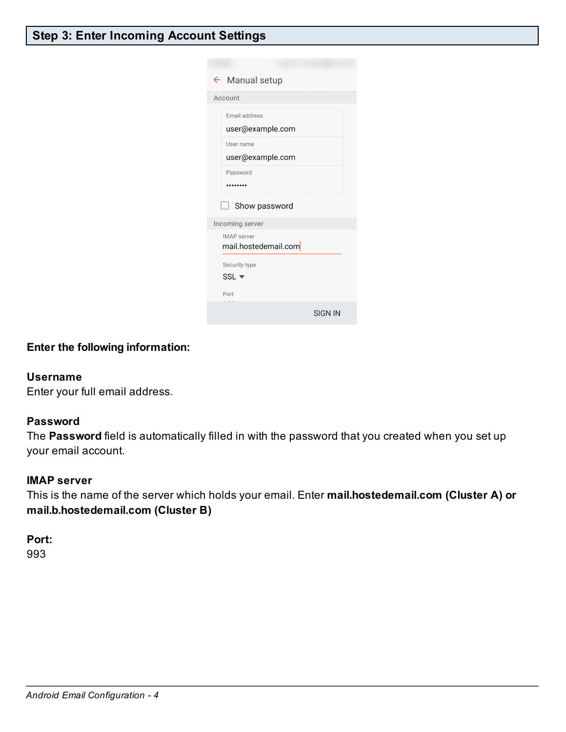# Step 3: Enter Incoming Account Settings

|                      | $\leftarrow$ Manual setup     |                |
|----------------------|-------------------------------|----------------|
| Account              |                               |                |
|                      | Email address                 |                |
|                      | user@example.com              |                |
|                      | User name                     |                |
|                      | user@example.com              |                |
|                      | Password                      |                |
|                      |                               |                |
|                      | Show password<br>$\mathbf{I}$ |                |
| Incoming server      |                               |                |
| <b>IMAP</b> server   |                               |                |
| mail.hostedemail.com |                               |                |
|                      | Security type                 |                |
|                      | $SSL$ $\blacktriangledown$    |                |
|                      | Port                          |                |
|                      |                               | <b>SIGN IN</b> |

## Enter the following information:

#### Username

Enter your full email address.

### Password

The Password field is automatically filled in with the password that you created when you set up your email account.

#### IMAP server

This is the name of the server which holds your email. Enter mail.hostedemail.com (Cluster A) or mail.b.hostedemail.com (Cluster B)

## Port:

993